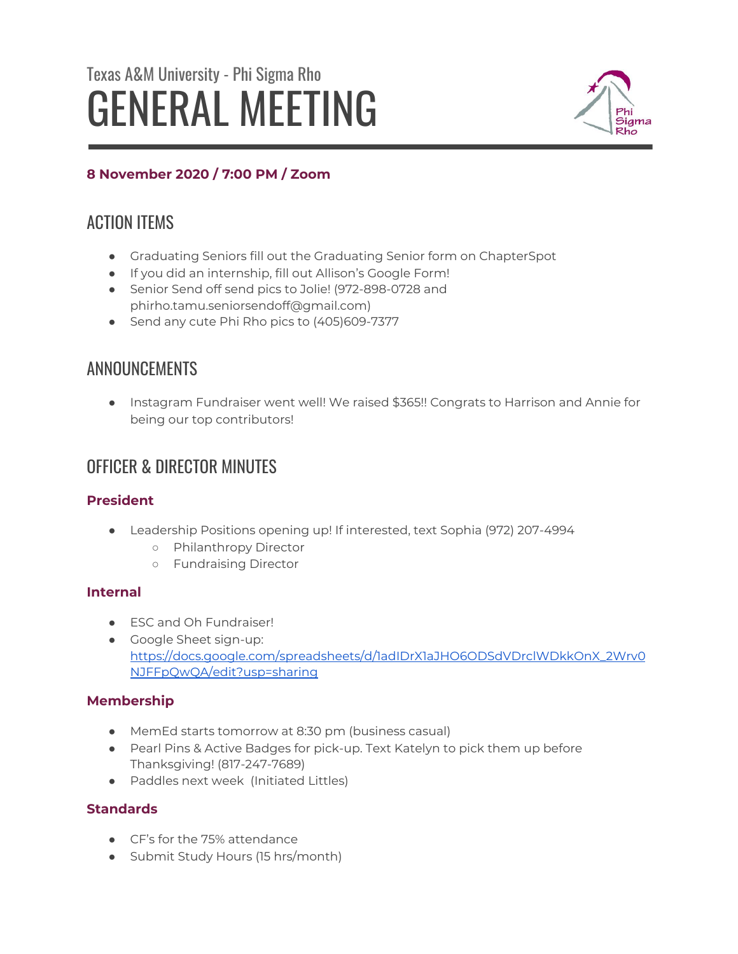# Texas A&M University - Phi Sigma Rho GENERAL MEETING



## **8 November 2020 / 7:00 PM / Zoom**

# ACTION ITEMS

- Graduating Seniors fill out the Graduating Senior form on ChapterSpot
- If you did an internship, fill out Allison's Google Form!
- Senior Send off send pics to Jolie! (972-898-0728 and phirho.tamu.seniorsendoff@gmail.com)
- Send any cute Phi Rho pics to (405)609-7377

# ANNOUNCEMENTS

● Instagram Fundraiser went well! We raised \$365!! Congrats to Harrison and Annie for being our top contributors!

# OFFICER & DIRECTOR MINUTES

## **President**

- Leadership Positions opening up! If interested, text Sophia (972) 207-4994
	- Philanthropy Director
	- Fundraising Director

## **Internal**

- ESC and Oh Fundraiser!
- Google Sheet sign-up: [https://docs.google.com/spreadsheets/d/1adIDrX1aJHO6ODSdVDrclWDkkOnX\\_2Wrv0](https://docs.google.com/spreadsheets/d/1adIDrX1aJHO6ODSdVDrclWDkkOnX_2Wrv0NJFFpQwQA/edit?usp=sharing) [NJFFpQwQA/edit?usp=sharing](https://docs.google.com/spreadsheets/d/1adIDrX1aJHO6ODSdVDrclWDkkOnX_2Wrv0NJFFpQwQA/edit?usp=sharing)

## **Membership**

- MemEd starts tomorrow at 8:30 pm (business casual)
- Pearl Pins & Active Badges for pick-up. Text Katelyn to pick them up before Thanksgiving! (817-247-7689)
- Paddles next week (Initiated Littles)

## **Standards**

- CF's for the 75% attendance
- Submit Study Hours (15 hrs/month)